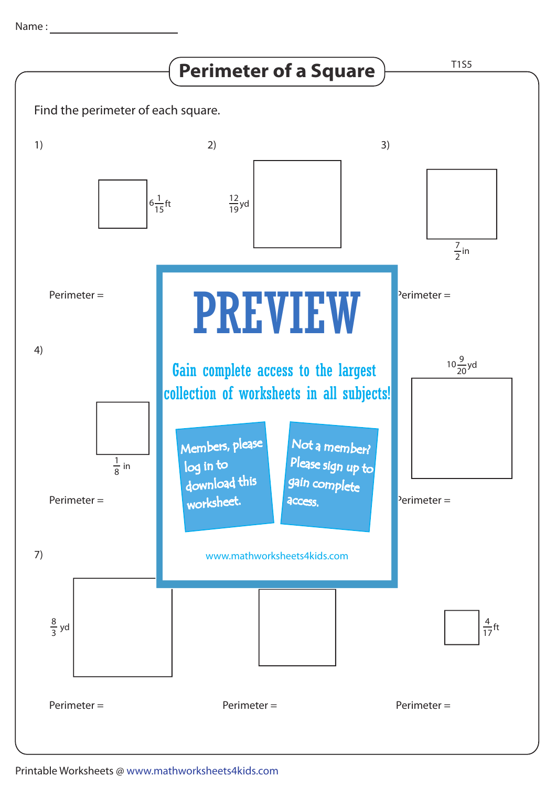